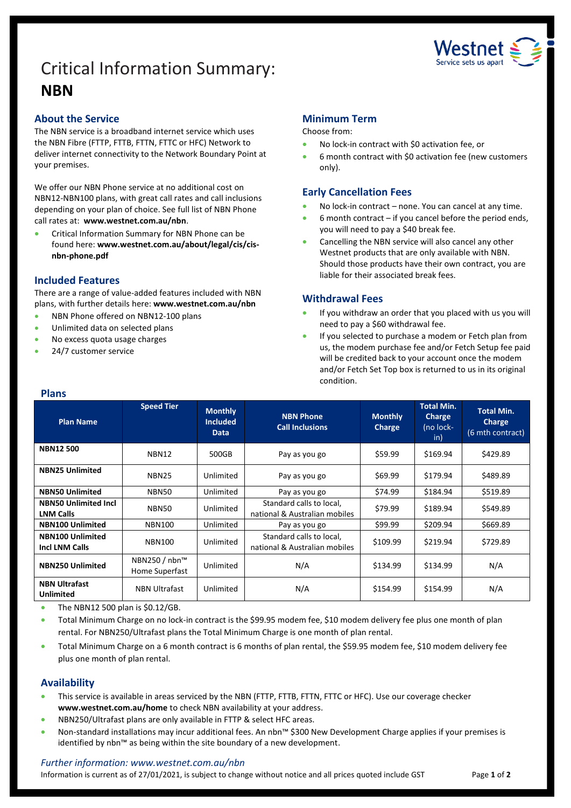# Critical Information Summary: **NBN**



# **About the Service**

The NBN service is a broadband internet service which uses the NBN Fibre (FTTP, FTTB, FTTN, FTTC or HFC) Network to deliver internet connectivity to the Network Boundary Point at your premises.

We offer our NBN Phone service at no additional cost on NBN12-NBN100 plans, with great call rates and call inclusions depending on your plan of choice. See full list of NBN Phone call rates at: **www.westnet.com.au/nbn**.

• Critical Information Summary for NBN Phone can be found here: **www.westnet.com.au/about/legal/cis/cisnbn-phone.pdf**

# **Included Features**

There are a range of value-added features included with NBN plans, with further details here: **www.westnet.com.au/nbn**

- NBN Phone offered on NBN12-100 plans
- Unlimited data on selected plans
- No excess quota usage charges
- 24/7 customer service

# **Minimum Term**

Choose from:

- No lock-in contract with \$0 activation fee, or
- 6 month contract with \$0 activation fee (new customers only).

# **Early Cancellation Fees**

- No lock-in contract none. You can cancel at any time.
- $6$  month contract if you cancel before the period ends, you will need to pay a \$40 break fee.
- Cancelling the NBN service will also cancel any other Westnet products that are only available with NBN. Should those products have their own contract, you are liable for their associated break fees.

# **Withdrawal Fees**

- If you withdraw an order that you placed with us you will need to pay a \$60 withdrawal fee.
- If you selected to purchase a modem or Fetch plan from us, the modem purchase fee and/or Fetch Setup fee paid will be credited back to your account once the modem and/or Fetch Set Top box is returned to us in its original condition.

| <b>Plans</b>                                     |                                 |                                                  |                                                           |                          |                                                        |                                                 |  |
|--------------------------------------------------|---------------------------------|--------------------------------------------------|-----------------------------------------------------------|--------------------------|--------------------------------------------------------|-------------------------------------------------|--|
| <b>Plan Name</b>                                 | <b>Speed Tier</b>               | <b>Monthly</b><br><b>Included</b><br><b>Data</b> | <b>NBN Phone</b><br><b>Call Inclusions</b>                | <b>Monthly</b><br>Charge | <b>Total Min.</b><br><b>Charge</b><br>(no lock-<br>in) | <b>Total Min.</b><br>Charge<br>(6 mth contract) |  |
| <b>NBN12500</b>                                  | NBN12                           | 500GB                                            | Pay as you go                                             | \$59.99                  | \$169.94                                               | \$429.89                                        |  |
| <b>NBN25 Unlimited</b>                           | <b>NBN25</b>                    | Unlimited                                        | Pay as you go                                             | \$69.99                  | \$179.94                                               | \$489.89                                        |  |
| <b>NBN50 Unlimited</b>                           | NBN50                           | Unlimited                                        | Pay as you go                                             | \$74.99                  | \$184.94                                               | \$519.89                                        |  |
| <b>NBN50 Unlimited Incl</b><br><b>LNM Calls</b>  | NBN50                           | Unlimited                                        | Standard calls to local,<br>national & Australian mobiles | \$79.99                  | \$189.94                                               | \$549.89                                        |  |
| <b>NBN100 Unlimited</b>                          | <b>NBN100</b>                   | Unlimited                                        | Pay as you go                                             | \$99.99                  | \$209.94                                               | \$669.89                                        |  |
| <b>NBN100 Unlimited</b><br><b>Incl LNM Calls</b> | <b>NBN100</b>                   | Unlimited                                        | Standard calls to local,<br>national & Australian mobiles | \$109.99                 | \$219.94                                               | \$729.89                                        |  |
| <b>NBN250 Unlimited</b>                          | NBN250 / nbn™<br>Home Superfast | Unlimited                                        | N/A                                                       | \$134.99                 | \$134.99                                               | N/A                                             |  |
| <b>NBN Ultrafast</b><br><b>Unlimited</b>         | <b>NBN Ultrafast</b>            | Unlimited                                        | N/A                                                       | \$154.99                 | \$154.99                                               | N/A                                             |  |

• The NBN12 500 plan is  $$0.12/GB$ .

• Total Minimum Charge on no lock-in contract is the \$99.95 modem fee, \$10 modem delivery fee plus one month of plan rental. For NBN250/Ultrafast plans the Total Minimum Charge is one month of plan rental.

• Total Minimum Charge on a 6 month contract is 6 months of plan rental, the \$59.95 modem fee, \$10 modem delivery fee plus one month of plan rental.

# **Availability**

- This service is available in areas serviced by the NBN (FTTP, FTTB, FTTN, FTTC or HFC). Use ou[r coverage checker](https://www.westnet.com.au/internet-products/broadband/nbn/coverage/) **[www.westnet.com.au/home](http://www.westnet.com.au/home)** to check NBN availability at your address.
- NBN250/Ultrafast plans are only available in FTTP & select HFC areas.
- Non-standard installations may incur additional fees. An nbn™ \$300 New Development Charge applies if your premises is identified by nbn™ as being within the site boundary of a new development.

### *Further information: www.westnet.com.au/nbn*

Information is current as of 27/01/2021, is subject to change without notice and all prices quoted include GST Page 1 of 2